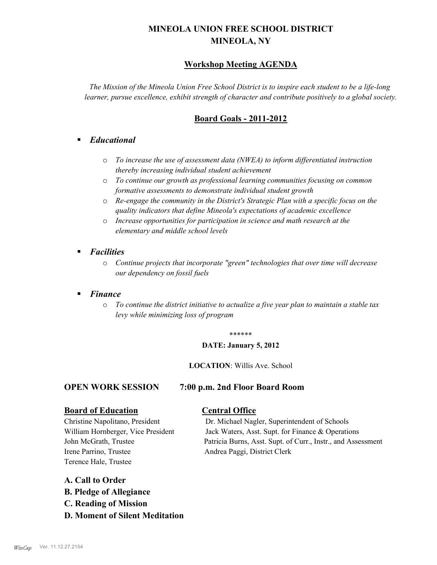# **MINEOLA UNION FREE SCHOOL DISTRICT MINEOLA, NY**

## **Workshop Meeting AGENDA**

*The Mission of the Mineola Union Free School District is to inspire each student to be a life-long learner, pursue excellence, exhibit strength of character and contribute positively to a global society.*

## **Board Goals - 2011-2012**

## § *Educational*

- o *To increase the use of assessment data (NWEA) to inform differentiated instruction thereby increasing individual student achievement*
- o *To continue our growth as professional learning communities focusing on common formative assessments to demonstrate individual student growth*
- o *Re-engage the community in the District's Strategic Plan with a specific focus on the quality indicators that define Mineola's expectations of academic excellence*
- o *Increase opportunities for participation in science and math research at the elementary and middle school levels*
- *Facilities* 
	- o *Continue projects that incorporate "green" technologies that over time will decrease our dependency on fossil fuels*

### § *Finance*

o *To continue the district initiative to actualize a five year plan to maintain a stable tax levy while minimizing loss of program*

#### \*\*\*\*\*\*

#### **DATE: January 5, 2012**

#### **LOCATION**: Willis Ave. School

#### **OPEN WORK SESSION 7:00 p.m. 2nd Floor Board Room**

# **Board of Education Central Office**

Irene Parrino, Trustee Andrea Paggi, District Clerk Terence Hale, Trustee

Christine Napolitano, President Dr. Michael Nagler, Superintendent of Schools William Hornberger, Vice President Jack Waters, Asst. Supt. for Finance & Operations John McGrath, Trustee Patricia Burns, Asst. Supt. of Curr., Instr., and Assessment

### **A. Call to Order**

- **B. Pledge of Allegiance**
- **C. Reading of Mission**
- **D. Moment of Silent Meditation**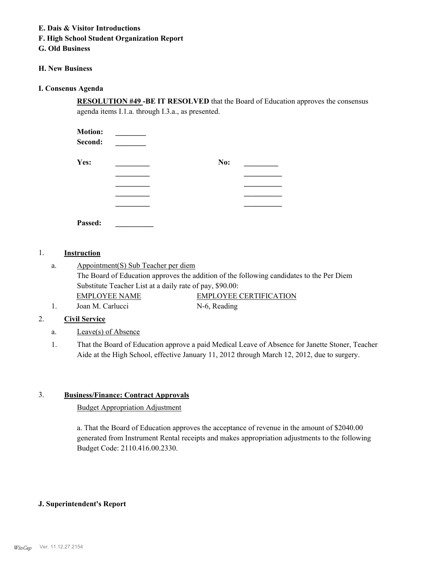#### **E. Dais & Visitor Introductions**

## **F. High School Student Organization Report**

## **G. Old Business**

## **H. New Business**

## **I. Consenus Agenda**

**RESOLUTION #49 -BE IT RESOLVED** that the Board of Education approves the consensus agenda items I.1.a. through I.3.a., as presented.

| <b>Motion:</b> |     |  |
|----------------|-----|--|
| Second:        |     |  |
| Yes:           | No: |  |
|                |     |  |
|                |     |  |
|                |     |  |
|                |     |  |
| Passed:        |     |  |

#### 1. **Instruction**

Appointment(S) Sub Teacher per diem The Board of Education approves the addition of the following candidates to the Per Diem Substitute Teacher List at a daily rate of pay, \$90.00: a. EMPLOYEE NAME EMPLOYEE CERTIFICATION 1. Joan M. Carlucci N-6, Reading

## 2. **Civil Service**

- a. Leave(s) of Absence
- That the Board of Education approve a paid Medical Leave of Absence for Janette Stoner, Teacher Aide at the High School, effective January 11, 2012 through March 12, 2012, due to surgery. 1.

### 3. **Business/Finance: Contract Approvals**

### Budget Appropriation Adjustment

a. That the Board of Education approves the acceptance of revenue in the amount of \$2040.00 generated from Instrument Rental receipts and makes appropriation adjustments to the following Budget Code: 2110.416.00.2330.

### **J. Superintendent's Report**